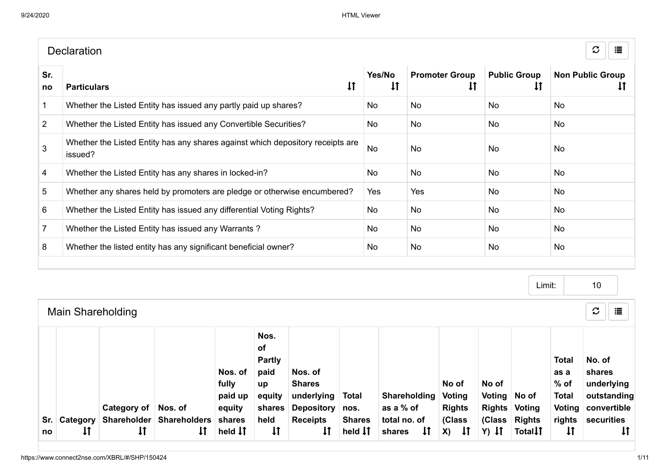|                | <b>Declaration</b>                                                                        |                        |                             |                                       | $\mathcal{C}$<br>這            |
|----------------|-------------------------------------------------------------------------------------------|------------------------|-----------------------------|---------------------------------------|-------------------------------|
| Sr.<br>no      | $\downarrow$<br><b>Particulars</b>                                                        | Yes/No<br>$\downarrow$ | <b>Promoter Group</b><br>ΤĮ | <b>Public Group</b><br>$\downarrow$ T | <b>Non Public Group</b><br>ŧΙ |
|                | Whether the Listed Entity has issued any partly paid up shares?                           | No.                    | <b>No</b>                   | No.                                   | <b>No</b>                     |
| $\overline{2}$ | Whether the Listed Entity has issued any Convertible Securities?                          | No.                    | <b>No</b>                   | No.                                   | <b>No</b>                     |
| 3              | Whether the Listed Entity has any shares against which depository receipts are<br>issued? | <b>No</b>              | <b>No</b>                   | No.                                   | <b>No</b>                     |
| 4              | Whether the Listed Entity has any shares in locked-in?                                    | No                     | <b>No</b>                   | <b>No</b>                             | <b>No</b>                     |
| 5              | Whether any shares held by promoters are pledge or otherwise encumbered?                  | Yes                    | Yes                         | <b>No</b>                             | <b>No</b>                     |
| 6              | Whether the Listed Entity has issued any differential Voting Rights?                      | No                     | <b>No</b>                   | <b>No</b>                             | <b>No</b>                     |
|                | Whether the Listed Entity has issued any Warrants?                                        | No                     | <b>No</b>                   | No.                                   | <b>No</b>                     |
| 8              | Whether the listed entity has any significant beneficial owner?                           | No.                    | <b>No</b>                   | No                                    | <b>No</b>                     |
|                |                                                                                           |                        |                             |                                       |                               |

Main Shareholding Limit:  $\sigma \parallel \equiv$ Sr. | Category | Shareholder | Shareholders no  $\mathbf{1}$ Category of Nos. of  $\downarrow$  $\downarrow$ Nos. of fully paid up equity shares held **IT** Nos. of Partly paid up equity shares held  $\downarrow$ Nos. of Shares underlying Total Depository nos. Receipts  $\downarrow$ Shares held  $\downarrow \uparrow$ Shareholding Voting as a % of total no. of shares 11 No of Rights (Class  $X$ )  $\downarrow$   $\uparrow$ No of Voting No of Rights Voting (Class Rights  $Y)$  It Total<sup>1</sup> Total as a % of Total Voting convertible rights securities  $\downarrow$ No. of shares underlying outstanding  $\downarrow$ 10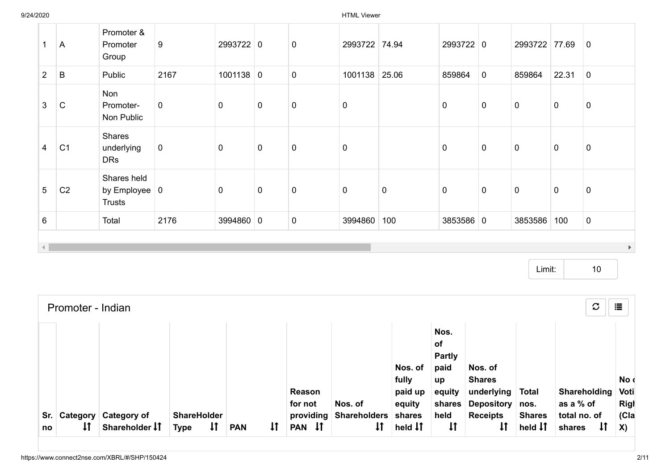9/24/2020 HTML Viewer

| 1                      | A              | Promoter &<br>Promoter<br>Group                             | 9           | 2993722 0      |             | 0           | 2993722 74.94 |           | 2993722 0   |                | 2993722 77.69 |                | $\overline{0}$        |
|------------------------|----------------|-------------------------------------------------------------|-------------|----------------|-------------|-------------|---------------|-----------|-------------|----------------|---------------|----------------|-----------------------|
| $2^{\circ}$            | B              | Public                                                      | 2167        | $1001138$ 0    |             | $\pmb{0}$   | 1001138       | 25.06     | 859864      | $\overline{0}$ | 859864        | 22.31          | $\overline{0}$        |
| $\mathbf{3}$           | $\mathsf{C}$   | Non<br>Promoter-<br>Non Public                              | $\mathbf 0$ | $\mathbf 0$    | $\mathbf 0$ | $\mathbf 0$ | $\mathbf 0$   |           | $\mathbf 0$ | $\overline{0}$ | $\pmb{0}$     | $\overline{0}$ | $\mathbf 0$           |
| $\overline{4}$         | C <sub>1</sub> | Shares<br>underlying<br><b>DRs</b>                          | $\mathbf 0$ | $\overline{0}$ | $\mathbf 0$ | $\pmb{0}$   | $\mathbf 0$   |           | $\mathbf 0$ | $\overline{0}$ | $\pmb{0}$     | $\mathbf 0$    | $\mathbf 0$           |
| $5\phantom{.0}$        | C <sub>2</sub> | Shares held<br>by Employee $\vert 0 \vert$<br><b>Trusts</b> |             | $\overline{0}$ | $\mathbf 0$ | $\mathbf 0$ | $\mathbf 0$   | $\pmb{0}$ | $\mathbf 0$ | $\overline{0}$ | $\mathbf 0$   | $\overline{0}$ | $\mathbf 0$           |
| 6                      |                | Total                                                       | 2176        | 3994860 0      |             | 0           | 3994860       | 100       | 3853586 0   |                | 3853586       | 100            | $\mathbf 0$           |
| $\left  \cdot \right $ |                |                                                             |             |                |             |             |               |           |             |                |               |                | $\blacktriangleright$ |

Limit: 10

|             | Promoter - Indian  |                                               |                                                   |            |              |                     |                                   |                                       |                                                                      |                                                             |                                             | $\mathcal{C}$                                | 這                           |
|-------------|--------------------|-----------------------------------------------|---------------------------------------------------|------------|--------------|---------------------|-----------------------------------|---------------------------------------|----------------------------------------------------------------------|-------------------------------------------------------------|---------------------------------------------|----------------------------------------------|-----------------------------|
|             |                    |                                               |                                                   |            |              | Reason<br>for not   | Nos. of                           | Nos. of<br>fully<br>paid up<br>equity | Nos.<br><b>of</b><br><b>Partly</b><br>paid<br>up<br>equity<br>shares | Nos. of<br><b>Shares</b><br>underlying<br>Depository   nos. | <b>Total</b>                                | Shareholding<br>as a % of                    | No d<br>Voti<br><b>Righ</b> |
| Sr. I<br>no | $\pmb{\downarrow}$ | <b>Category Category of</b><br>Shareholder IT | <b>ShareHolder</b><br>$\downarrow$<br><b>Type</b> | <b>PAN</b> | $\mathsf{1}$ | providing<br>PAN IT | <b>Shareholders</b><br>$\ddagger$ | shares<br>held $\downarrow \uparrow$  | held<br>$\pmb{\downarrow}$                                           | <b>Receipts</b>                                             | <b>Shares</b><br>held $\downarrow \uparrow$ | total no. of<br>$\pmb{\downarrow}$<br>shares | C a<br><b>X</b> )           |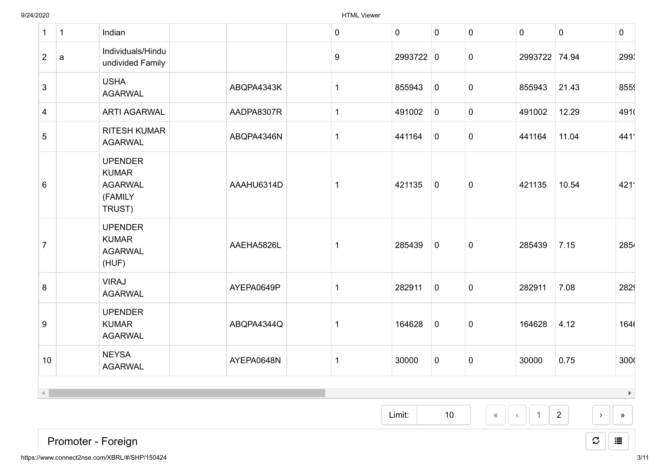| $\mathbf{1}$         | $\mathbf{1}$ | Indian                                                                |            | $\pmb{0}$    | $\mathbf 0$ | $\mathbf 0$ | $\mathbf 0$      | $\mathbf 0$    | $\mathbf 0$    | $\mathbf 0$                    |
|----------------------|--------------|-----------------------------------------------------------------------|------------|--------------|-------------|-------------|------------------|----------------|----------------|--------------------------------|
| $2^{\circ}$          | a            | Individuals/Hindu<br>undivided Family                                 |            | 9            | 2993722 0   |             | $\overline{0}$   | 2993722 74.94  |                | 2993                           |
| $\overline{3}$       |              | <b>USHA</b><br><b>AGARWAL</b>                                         | ABQPA4343K | $\mathbf{1}$ | 855943      | $\mathbf 0$ | $\mathbf 0$      | 855943         | 21.43          | 855                            |
| 4                    |              | <b>ARTI AGARWAL</b>                                                   | AADPA8307R | $\mathbf 1$  | 491002      | $\pmb{0}$   | $\mathbf{0}$     | 491002         | 12.29          | 4910                           |
| 5                    |              | <b>RITESH KUMAR</b><br><b>AGARWAL</b>                                 | ABQPA4346N | $\mathbf 1$  | 441164      | $\mathbf 0$ | $\mathbf 0$      | 441164         | 11.04          | 4411                           |
| 6                    |              | <b>UPENDER</b><br><b>KUMAR</b><br><b>AGARWAL</b><br>(FAMILY<br>TRUST) | AAAHU6314D | $\mathbf 1$  | 421135      | $\mathbf 0$ | $\mathbf 0$      | 421135         | 10.54          | 4211                           |
| $\overline{7}$       |              | <b>UPENDER</b><br><b>KUMAR</b><br><b>AGARWAL</b><br>(HUF)             | AAEHA5826L | -1           | 285439      | $\mathbf 0$ | $\mathbf 0$      | 285439         | 7.15           | 2854                           |
| 8                    |              | <b>VIRAJ</b><br><b>AGARWAL</b>                                        | AYEPA0649P | $\mathbf 1$  | 282911      | $\mathbf 0$ | $\mathbf 0$      | 282911         | 7.08           | 2829                           |
| 9                    |              | <b>UPENDER</b><br><b>KUMAR</b><br><b>AGARWAL</b>                      | ABQPA4344Q | $\mathbf{1}$ | 164628      | $\mathbf 0$ | $\mathbf 0$      | 164628         | 4.12           | 1646                           |
| 10                   |              | <b>NEYSA</b><br><b>AGARWAL</b>                                        | AYEPA0648N | $\mathbf{1}$ | 30000       | $\pmb{0}$   | $\mathbf 0$      | 30000          | 0.75           | 3000                           |
| $\blacktriangleleft$ |              |                                                                       |            |              |             |             |                  |                |                | $\blacktriangleright$          |
|                      |              |                                                                       |            |              | Limit:      | 10          | $\langle\langle$ | $\overline{1}$ | $\overline{2}$ | $\mathcal{Y}$<br>$\rightarrow$ |

 $\mathcal{Z}$   $\parallel$   $\equiv$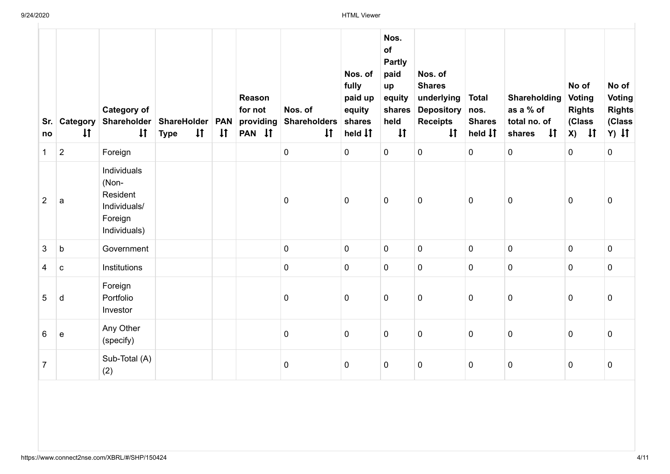| Sr.<br>no      | $\downarrow$   | <b>Category of</b><br><b>Category Shareholder</b><br>$\downarrow$           | ShareHolder   PAN<br>$\downarrow$<br><b>Type</b> | $\downarrow$ | Reason<br>for not<br>providing<br>PAN IT | Nos. of<br><b>Shareholders</b><br>$\downarrow$ | Nos. of<br>fully<br>paid up<br>equity<br>shares<br>held <b>I</b> f | Nos.<br>of<br><b>Partly</b><br>paid<br>up<br>equity<br>shares<br>held<br>$\downarrow$ | Nos. of<br><b>Shares</b><br>underlying<br><b>Depository</b><br><b>Receipts</b><br>$\downarrow$ | <b>Total</b><br>nos.<br><b>Shares</b><br>held <b>I</b> T | Shareholding<br>as a % of<br>total no. of<br>$\downarrow$<br>shares | No of<br>Voting<br><b>Rights</b><br>(Class<br>$X)$ If | No of<br><b>Voting</b><br><b>Rights</b><br>(Class<br>$Y)$ $\downarrow$ $\uparrow$ |
|----------------|----------------|-----------------------------------------------------------------------------|--------------------------------------------------|--------------|------------------------------------------|------------------------------------------------|--------------------------------------------------------------------|---------------------------------------------------------------------------------------|------------------------------------------------------------------------------------------------|----------------------------------------------------------|---------------------------------------------------------------------|-------------------------------------------------------|-----------------------------------------------------------------------------------|
| $\mathbf 1$    | $\overline{2}$ | Foreign                                                                     |                                                  |              |                                          | $\mathbf 0$                                    | $\mathbf 0$                                                        | 0                                                                                     | $\mathbf 0$                                                                                    | $\mathbf 0$                                              | $\mathbf 0$                                                         | $\mathbf 0$                                           | $\mathbf 0$                                                                       |
| $\overline{2}$ | a              | Individuals<br>(Non-<br>Resident<br>Individuals/<br>Foreign<br>Individuals) |                                                  |              |                                          | $\pmb{0}$                                      | $\mathbf 0$                                                        | $\mathbf 0$                                                                           | $\pmb{0}$                                                                                      | $\mathbf 0$                                              | $\pmb{0}$                                                           | $\mathbf 0$                                           | $\mathbf 0$                                                                       |
| 3              | $\mathsf b$    | Government                                                                  |                                                  |              |                                          | $\pmb{0}$                                      | 0                                                                  | $\mathbf 0$                                                                           | $\pmb{0}$                                                                                      | $\mathbf 0$                                              | $\mathbf 0$                                                         | $\mathbf 0$                                           | $\mathbf 0$                                                                       |
| $\overline{4}$ | $\mathbf{C}$   | Institutions                                                                |                                                  |              |                                          | $\pmb{0}$                                      | $\mathbf 0$                                                        | $\mathbf 0$                                                                           | 0                                                                                              | $\overline{0}$                                           | $\mathbf 0$                                                         | $\mathbf 0$                                           | $\mathbf 0$                                                                       |
| 5              | d              | Foreign<br>Portfolio<br>Investor                                            |                                                  |              |                                          | $\pmb{0}$                                      | $\mathbf 0$                                                        | 0                                                                                     | $\pmb{0}$                                                                                      | $\mathbf 0$                                              | $\pmb{0}$                                                           | $\overline{0}$                                        | 0                                                                                 |
| 6              | $\mathbf e$    | Any Other<br>(specify)                                                      |                                                  |              |                                          | $\pmb{0}$                                      | 0                                                                  | 0                                                                                     | $\pmb{0}$                                                                                      | $\mathbf 0$                                              | $\pmb{0}$                                                           | $\mathbf 0$                                           | $\pmb{0}$                                                                         |
| $\overline{7}$ |                | Sub-Total (A)<br>(2)                                                        |                                                  |              |                                          | 0                                              | $\mathbf 0$                                                        | $\mathbf 0$                                                                           | $\mathbf 0$                                                                                    | $\mathbf 0$                                              | $\pmb{0}$                                                           | $\mathbf 0$                                           | $\mathbf 0$                                                                       |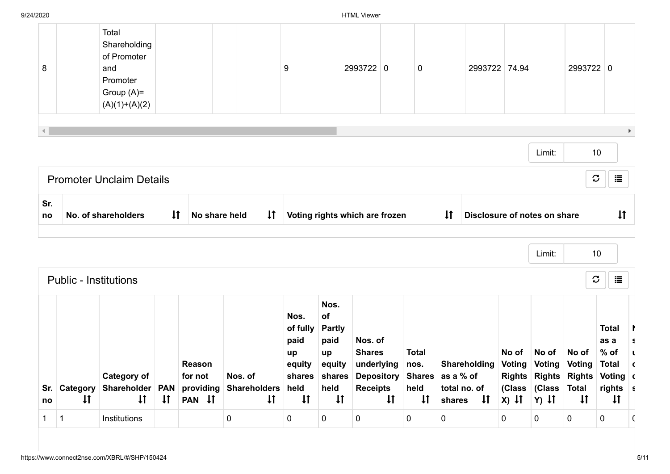| no  | <b>Public - Institutions</b><br>$\downarrow$ | <b>Category of</b><br>Sr. Category Shareholder PAN providing<br>$\downarrow$<br>Institutions | $\downarrow$ | Reason<br>for not<br>PAN IT | Nos. of<br>Shareholders held<br>$\downarrow$ | Nos.<br>of fully<br>paid<br>up<br>equity<br>shares shares Depository Shares as a % of<br>$\downarrow$<br>$\mathbf 0$ | Nos.<br>of<br><b>Partly</b><br>paid<br>up<br>equity<br>held<br>$\downarrow$<br>$\mathbf 0$ | Nos. of<br><b>Shares</b><br>underlying<br><b>Receipts</b> | $\downarrow$ | <b>Total</b><br>nos.<br>held<br>$\downarrow$<br>$\mathbf{0}$ | total no. of<br>shares <b>I</b> T<br>$\mathbf 0$ |               | No of<br>$X)$ It<br>$\mathbf 0$ | Limit:<br>No of<br>Shareholding Voting Voting Voting<br>Rights Rights Rights Voting d<br>(Class (Class Total<br>$Y)$ It<br>$\overline{0}$ | 10<br>$\mathfrak{S}% _{M_{1},M_{2}}^{\alpha,\beta}(\varepsilon)=\mathfrak{S}_{M_{1},M_{2}}^{\alpha,\beta}(\varepsilon)$<br>No of<br>$\downarrow$<br>$\mathbf 0$ | 這<br><b>Total</b><br>as a<br>$%$ of<br><b>Total</b><br>rights s<br>$\downarrow$ |
|-----|----------------------------------------------|----------------------------------------------------------------------------------------------|--------------|-----------------------------|----------------------------------------------|----------------------------------------------------------------------------------------------------------------------|--------------------------------------------------------------------------------------------|-----------------------------------------------------------|--------------|--------------------------------------------------------------|--------------------------------------------------|---------------|---------------------------------|-------------------------------------------------------------------------------------------------------------------------------------------|-----------------------------------------------------------------------------------------------------------------------------------------------------------------|---------------------------------------------------------------------------------|
|     |                                              |                                                                                              |              |                             |                                              |                                                                                                                      |                                                                                            |                                                           |              |                                                              |                                                  |               |                                 |                                                                                                                                           |                                                                                                                                                                 |                                                                                 |
| no  |                                              | No. of shareholders                                                                          | $\downarrow$ | No share held               | $\downarrow$                                 | Voting rights which are frozen                                                                                       |                                                                                            |                                                           |              |                                                              | $\downarrow$                                     |               |                                 | Disclosure of notes on share                                                                                                              |                                                                                                                                                                 | $\downarrow$                                                                    |
| Sr. |                                              | <b>Promoter Unclaim Details</b>                                                              |              |                             |                                              |                                                                                                                      |                                                                                            |                                                           |              |                                                              |                                                  |               |                                 |                                                                                                                                           | $\boldsymbol{\mathcal{C}}$                                                                                                                                      | 這                                                                               |
|     |                                              |                                                                                              |              |                             |                                              |                                                                                                                      |                                                                                            |                                                           |              |                                                              |                                                  |               |                                 | Limit:                                                                                                                                    | 10                                                                                                                                                              |                                                                                 |
| 8   |                                              | and<br>Promoter<br>Group $(A)=$<br>$(A)(1)+(A)(2)$                                           |              |                             |                                              | 9                                                                                                                    |                                                                                            | 2993722 0                                                 |              | 0                                                            |                                                  | 2993722 74.94 |                                 |                                                                                                                                           | 2993722 0                                                                                                                                                       |                                                                                 |
|     |                                              | Shareholding<br>of Promoter                                                                  |              |                             |                                              |                                                                                                                      |                                                                                            |                                                           |              |                                                              |                                                  |               |                                 |                                                                                                                                           |                                                                                                                                                                 |                                                                                 |
|     |                                              | Total                                                                                        |              |                             |                                              |                                                                                                                      |                                                                                            |                                                           |              |                                                              |                                                  |               |                                 |                                                                                                                                           |                                                                                                                                                                 |                                                                                 |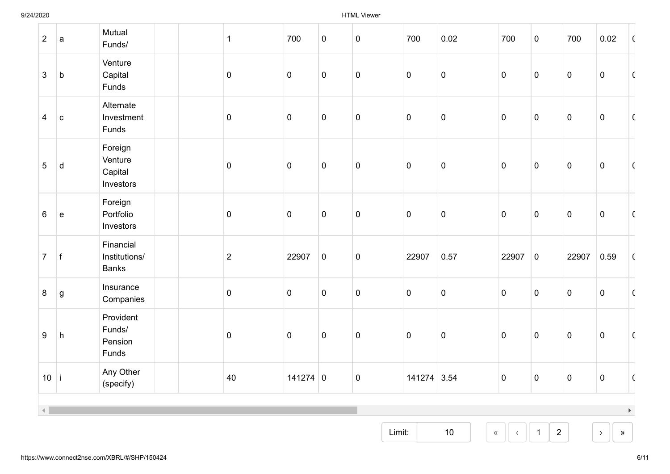| $\overline{2}$  | a            | Mutual<br>Funds/                           | $\mathbf 1$    | 700            | $\pmb{0}$ | $\mathbf 0$    | 700         | 0.02                       | 700            | $\mathbf 0$         | 700            | 0.02                           | O                     |
|-----------------|--------------|--------------------------------------------|----------------|----------------|-----------|----------------|-------------|----------------------------|----------------|---------------------|----------------|--------------------------------|-----------------------|
| $\mathbf{3}$    | $\mathbf b$  | Venture<br>Capital<br>Funds                | $\overline{0}$ | $\overline{0}$ | $\pmb{0}$ | $\mathbf 0$    | $\mathbf 0$ | $\pmb{0}$                  | $\overline{0}$ | $\pmb{0}$           | $\pmb{0}$      | $\pmb{0}$                      | O                     |
| $\overline{4}$  | $\vert$ c    | Alternate<br>Investment<br>Funds           | $\overline{0}$ | $\overline{0}$ | $\pmb{0}$ | $\mathbf 0$    | $\pmb{0}$   | $\pmb{0}$                  | $\overline{0}$ | $\pmb{0}$           | $\pmb{0}$      | $\pmb{0}$                      | C                     |
| $5\phantom{.0}$ | d            | Foreign<br>Venture<br>Capital<br>Investors | $\overline{0}$ | $\overline{0}$ | $\pmb{0}$ | $\pmb{0}$      | $\pmb{0}$   | $\pmb{0}$                  | $\mathbf 0$    | $\pmb{0}$           | $\pmb{0}$      | $\pmb{0}$                      | C                     |
| 6               | $\vert$ e    | Foreign<br>Portfolio<br>Investors          | $\overline{0}$ | $\overline{0}$ | $\pmb{0}$ | $\mathbf 0$    | $\pmb{0}$   | $\pmb{0}$                  | $\mathbf 0$    | $\pmb{0}$           | $\pmb{0}$      | $\pmb{0}$                      | 0                     |
| $\overline{7}$  | $\mathsf{f}$ | Financial<br>Institutions/<br><b>Banks</b> | $\sqrt{2}$     | 22907          | $\pmb{0}$ | $\mathbf 0$    | 22907       | 0.57                       | 22907          | $\overline{0}$      | 22907          | 0.59                           | $\mathbf{C}$          |
| $8\phantom{.}$  | g            | Insurance<br>Companies                     | $\pmb{0}$      | $\overline{0}$ | $\pmb{0}$ | $\mathbf 0$    | $\pmb{0}$   | $\pmb{0}$                  | $\overline{0}$ | $\pmb{0}$           | $\pmb{0}$      | $\pmb{0}$                      | $\mathbf C$           |
| $9\,$           | $\mathsf{h}$ | Provident<br>Funds/<br>Pension<br>Funds    | $\overline{0}$ | $\overline{0}$ | $\pmb{0}$ | $\mathbf 0$    | $\pmb{0}$   | $\pmb{0}$                  | $\mathbf 0$    | $\pmb{0}$           | $\pmb{0}$      | $\pmb{0}$                      | C                     |
| 10 i            |              | Any Other<br>(specify)                     | 40             | $141274$ 0     |           | $\overline{0}$ | 141274 3.54 |                            | $\overline{0}$ | $\overline{0}$      | $\overline{0}$ | $\Omega$                       | $\sqrt{2}$            |
|                 |              |                                            |                |                |           |                |             |                            |                |                     |                |                                | $\blacktriangleright$ |
|                 |              |                                            |                |                |           | Limit:         |             | $10\,$<br>$\langle\langle$ |                | $\overline{2}$<br>1 |                | $\mathcal{P}$<br>$\rightarrow$ |                       |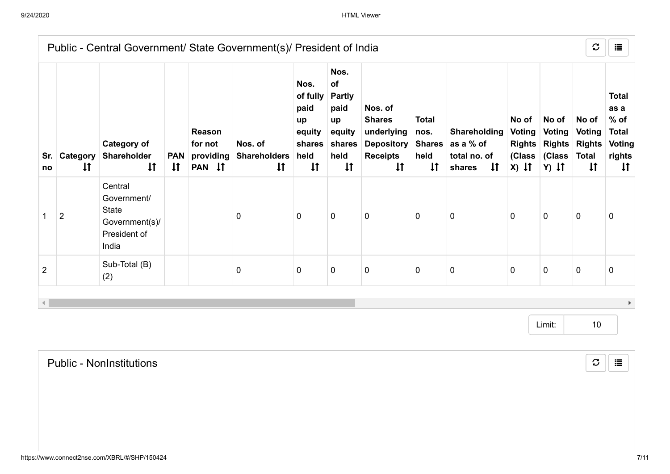|                |                        | Public - Central Government/ State Government(s)/ President of India              |                            |                                          |                                                |                                                                            |                                                                                       |                                                                                                |                                                               |                                                                     |                                   |                                                                                                 | $\mathcal{C}$                                          | 這                                                                                  |
|----------------|------------------------|-----------------------------------------------------------------------------------|----------------------------|------------------------------------------|------------------------------------------------|----------------------------------------------------------------------------|---------------------------------------------------------------------------------------|------------------------------------------------------------------------------------------------|---------------------------------------------------------------|---------------------------------------------------------------------|-----------------------------------|-------------------------------------------------------------------------------------------------|--------------------------------------------------------|------------------------------------------------------------------------------------|
| Sr.<br>no      | Category<br>$\ddagger$ | <b>Category of</b><br>Shareholder<br>$\downarrow$                                 | <b>PAN</b><br>$\downarrow$ | Reason<br>for not<br>providing<br>PAN IT | Nos. of<br><b>Shareholders</b><br>$\downarrow$ | Nos.<br>of fully<br>paid<br>up<br>equity<br>shares<br>held<br>$\downarrow$ | Nos.<br>of<br><b>Partly</b><br>paid<br>up<br>equity<br>shares<br>held<br>$\downarrow$ | Nos. of<br><b>Shares</b><br>underlying<br><b>Depository</b><br><b>Receipts</b><br>$\downarrow$ | <b>Total</b><br>nos.<br><b>Shares</b><br>held<br>$\downarrow$ | Shareholding<br>as a % of<br>total no. of<br>$\downarrow$<br>shares | No of<br><b>Voting</b><br>$X)$ It | No of<br>Voting<br><b>Rights Rights Rights</b><br>(Class (Class<br>$Y)$ $\downarrow$ $\uparrow$ | No of<br><b>Voting</b><br><b>Total</b><br>$\downarrow$ | <b>Total</b><br>as a<br>$%$ of<br><b>Total</b><br>Voting<br>rights<br>$\downarrow$ |
|                | $\overline{2}$         | Central<br>Government/<br><b>State</b><br>Government(s)/<br>President of<br>India |                            |                                          | 0                                              | 0                                                                          | 0                                                                                     | $\mathbf 0$                                                                                    | $\mathbf 0$                                                   | 0                                                                   | $\mathbf 0$                       | $\mathbf 0$                                                                                     | $\mathbf 0$                                            | $\mathbf{0}$                                                                       |
| $\overline{2}$ |                        | Sub-Total (B)<br>(2)                                                              |                            |                                          | 0                                              | 0                                                                          | 0                                                                                     | $\pmb{0}$                                                                                      | $\mathbf 0$                                                   | $\mathbf 0$                                                         | $\pmb{0}$                         | $\mathbf 0$                                                                                     | $\mathbf 0$                                            | 0                                                                                  |
|                |                        |                                                                                   |                            |                                          |                                                |                                                                            |                                                                                       |                                                                                                |                                                               |                                                                     |                                   |                                                                                                 |                                                        |                                                                                    |

Limit: 10

Public - NonInstitutions

 $\mathcal{Z}$   $\parallel$   $\equiv$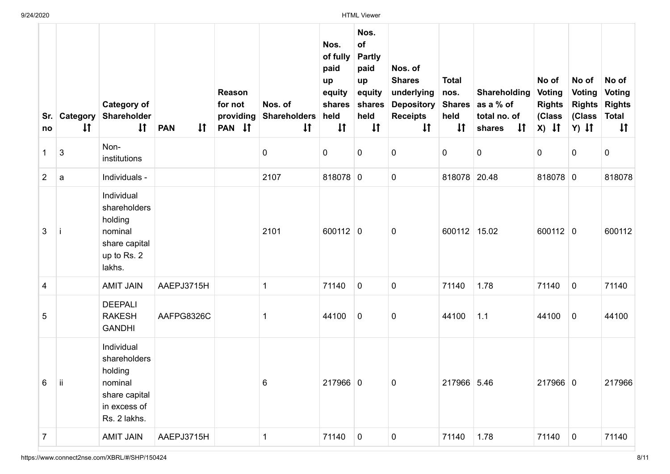| Sr.<br>no      | Category<br>$\downarrow$ | <b>Category of</b><br>Shareholder<br>$\downarrow$                                                 | $\mathfrak{t}$<br><b>PAN</b> | Reason<br>for not<br>providing<br>PAN IT | Nos. of<br><b>Shareholders</b><br>$\sharp$ | Nos.<br>of fully<br>paid<br>up<br>equity<br>shares<br>held<br>$\downarrow$ | Nos.<br>of<br><b>Partly</b><br>paid<br>up<br>equity<br>shares<br>held<br>$\downarrow$ | Nos. of<br><b>Shares</b><br>underlying<br><b>Depository</b><br><b>Receipts</b><br>$\downarrow$ | <b>Total</b><br>nos.<br><b>Shares</b><br>held<br>$\downarrow$ | Shareholding<br>as a % of<br>total no. of<br>$\downarrow$<br>shares | No of<br>Voting<br><b>Rights</b><br>(Class<br>$X)$ If | No of<br><b>Voting</b><br>(Class<br>$Y)$ It | No of<br><b>Voting</b><br><b>Rights Rights</b><br><b>Total</b><br>$\downarrow$ |
|----------------|--------------------------|---------------------------------------------------------------------------------------------------|------------------------------|------------------------------------------|--------------------------------------------|----------------------------------------------------------------------------|---------------------------------------------------------------------------------------|------------------------------------------------------------------------------------------------|---------------------------------------------------------------|---------------------------------------------------------------------|-------------------------------------------------------|---------------------------------------------|--------------------------------------------------------------------------------|
| 1              | 3                        | Non-<br>institutions                                                                              |                              |                                          | 0                                          | 0                                                                          | $\mathbf 0$                                                                           | 0                                                                                              | 0                                                             | $\pmb{0}$                                                           | 0                                                     | $\mathbf 0$                                 | 0                                                                              |
| $\overline{2}$ | a                        | Individuals -                                                                                     |                              |                                          | 2107                                       | 818078 0                                                                   |                                                                                       | 0                                                                                              | 818078                                                        | 20.48                                                               | 818078 0                                              |                                             | 818078                                                                         |
| 3              | Ť                        | Individual<br>shareholders<br>holding<br>nominal<br>share capital<br>up to Rs. 2<br>lakhs.        |                              |                                          | 2101                                       | $600112$ 0                                                                 |                                                                                       | 0                                                                                              | 600112 15.02                                                  |                                                                     | $600112$ 0                                            |                                             | 600112                                                                         |
| 4              |                          | <b>AMIT JAIN</b>                                                                                  | AAEPJ3715H                   |                                          | 1                                          | 71140                                                                      | $\overline{0}$                                                                        | $\mathbf 0$                                                                                    | 71140                                                         | 1.78                                                                | 71140                                                 | $\overline{0}$                              | 71140                                                                          |
| 5              |                          | <b>DEEPALI</b><br><b>RAKESH</b><br><b>GANDHI</b>                                                  | AAFPG8326C                   |                                          |                                            | 44100                                                                      | $\mathbf 0$                                                                           | 0                                                                                              | 44100                                                         | 1.1                                                                 | 44100                                                 | $\mathbf 0$                                 | 44100                                                                          |
| 6              | ΠĪ.                      | Individual<br>shareholders<br>holding<br>nominal<br>share capital<br>in excess of<br>Rs. 2 lakhs. |                              |                                          | 6                                          | $217966$ 0                                                                 |                                                                                       | $\Omega$                                                                                       | 217966 5.46                                                   |                                                                     | 217966 0                                              |                                             | 217966                                                                         |
| $\overline{7}$ |                          | <b>AMIT JAIN</b>                                                                                  | AAEPJ3715H                   |                                          | 1                                          | 71140                                                                      | $\overline{0}$                                                                        | $\mathbf 0$                                                                                    | 71140                                                         | 1.78                                                                | 71140                                                 | $\overline{0}$                              | 71140                                                                          |

 $\sim$ 

https://www.connect2nse.com/XBRL/#/SHP/150424 8/11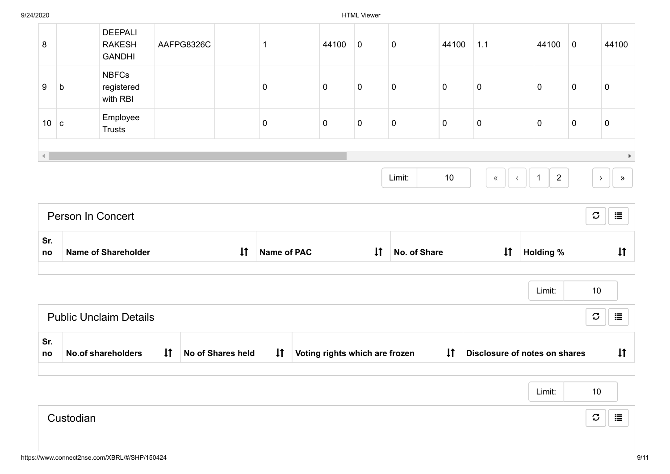| Sr.<br>no<br>Sr.     |             | <b>Name of Shareholder</b><br><b>Public Unclaim Details</b> |            | $\downarrow$ | <b>Name of PAC</b> |                | $\downarrow$ | No. of Share |             | $\downarrow$     | <b>Holding %</b><br>Limit: | 10<br>$\mathfrak{S}% _{M_{1},M_{2}}^{\alpha,\beta}(\varepsilon)$ | $\downarrow$<br>這 |
|----------------------|-------------|-------------------------------------------------------------|------------|--------------|--------------------|----------------|--------------|--------------|-------------|------------------|----------------------------|------------------------------------------------------------------|-------------------|
|                      |             |                                                             |            |              |                    |                |              |              |             |                  |                            |                                                                  |                   |
|                      |             |                                                             |            |              |                    |                |              |              |             |                  |                            |                                                                  |                   |
|                      |             |                                                             |            |              |                    |                |              |              |             |                  |                            |                                                                  |                   |
|                      |             | Person In Concert                                           |            |              |                    |                |              |              |             |                  |                            | $\mathfrak{S}% _{M_{1},M_{2}}^{\alpha,\beta}(\varepsilon)$       | 這                 |
|                      |             |                                                             |            |              |                    |                |              | Limit:       | 10          | $\langle\langle$ | $\overline{2}$             |                                                                  | $\rightarrow$     |
| $\blacktriangleleft$ |             |                                                             |            |              |                    |                |              |              |             |                  |                            |                                                                  |                   |
| $10$ c               |             | Employee<br><b>Trusts</b>                                   |            |              | $\pmb{0}$          | $\overline{0}$ | $\pmb{0}$    | $\pmb{0}$    | $\mathbf 0$ | $\mathbf 0$      | $\overline{0}$             | $\pmb{0}$                                                        | $\pmb{0}$         |
| 9                    | $\mathsf b$ | <b>NBFCs</b><br>registered<br>with RBI                      |            |              | $\mathbf 0$        | $\overline{0}$ | $\pmb{0}$    | $\pmb{0}$    | $\pmb{0}$   | $\mathbf 0$      | $\mathbf 0$                | $\pmb{0}$                                                        | $\pmb{0}$         |
|                      |             | <b>DEEPALI</b><br><b>RAKESH</b><br><b>GANDHI</b>            | AAFPG8326C |              | $\mathbf{1}$       | 44100          | $\mathbf 0$  | $\pmb{0}$    | 44100       | 1.1              | 44100                      | $\mathbf 0$                                                      | 44100             |
| $\bf 8$              |             |                                                             |            |              |                    |                |              |              |             |                  |                            |                                                                  |                   |

|           | Limit: | 10                 |
|-----------|--------|--------------------|
| Custodian |        | $\mathcal{C}$<br>這 |
|           |        |                    |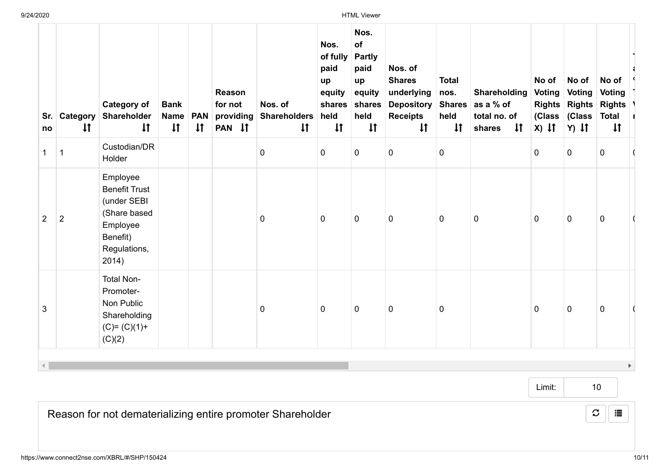| Sr.<br>no      | Category<br>$\downarrow$ | <b>Category of</b><br>Shareholder<br>$\downarrow$                                                                | <b>Bank</b><br><b>Name</b><br>$\downarrow$ | <b>PAN</b><br>$\downarrow$ | Reason<br>for not<br>providing<br>PAN IT | Nos. of<br><b>Shareholders</b><br>$\downarrow$ | Nos.<br>of fully<br>paid<br>up<br>equity<br>shares<br>held<br>$\downarrow$ | Nos.<br>of<br><b>Partly</b><br>paid<br>up<br>equity<br>shares<br>held<br>$\downarrow$ | Nos. of<br><b>Shares</b><br>underlying<br><b>Depository</b><br><b>Receipts</b><br>$\downarrow$ | <b>Total</b><br>nos.<br><b>Shares</b><br>held<br>$\downarrow$ | Shareholding<br>as a % of<br>total no. of<br>$\downarrow$<br>shares | No of<br><b>Voting</b><br>$x)$ if | No of<br><b>Voting</b><br>(Class (Class<br>$Y)$ It | No of<br><b>Voting</b><br>Rights Rights Rights<br>Total I<br>$\downarrow$ |  |
|----------------|--------------------------|------------------------------------------------------------------------------------------------------------------|--------------------------------------------|----------------------------|------------------------------------------|------------------------------------------------|----------------------------------------------------------------------------|---------------------------------------------------------------------------------------|------------------------------------------------------------------------------------------------|---------------------------------------------------------------|---------------------------------------------------------------------|-----------------------------------|----------------------------------------------------|---------------------------------------------------------------------------|--|
| 1              | 1                        | Custodian/DR<br>Holder                                                                                           |                                            |                            |                                          | $\pmb{0}$                                      | $\mathbf 0$                                                                | 0                                                                                     | 0                                                                                              | $\mathbf 0$                                                   |                                                                     | $\mathbf 0$                       | 0                                                  | $\mathbf 0$                                                               |  |
| $\overline{2}$ | $\overline{2}$           | Employee<br><b>Benefit Trust</b><br>(under SEBI<br>(Share based<br>Employee<br>Benefit)<br>Regulations,<br>2014) |                                            |                            |                                          | $\pmb{0}$                                      | $\mathbf 0$                                                                | 0                                                                                     | 0                                                                                              | $\mathbf 0$                                                   | $\mathbf 0$                                                         | $\mathbf 0$                       | $\mathbf 0$                                        | 0                                                                         |  |
| 3              |                          | <b>Total Non-</b><br>Promoter-<br>Non Public<br>Shareholding<br>$(C)= (C)(1)+$<br>(C)(2)                         |                                            |                            |                                          | $\mathbf 0$                                    | $\mathbf 0$                                                                | $\mathbf 0$                                                                           | 0                                                                                              | $\mathbf 0$                                                   |                                                                     | $\mathbf 0$                       | $\pmb{0}$                                          | $\mathbf 0$                                                               |  |
|                |                          |                                                                                                                  |                                            |                            |                                          |                                                |                                                                            |                                                                                       |                                                                                                |                                                               |                                                                     |                                   |                                                    |                                                                           |  |

Limit:

10

 $\mathcal{Z}$   $\parallel$   $\equiv$ 

Reason for not dematerializing entire promoter Shareholder

T a. % T V r

9/24/2020 HTML Viewer